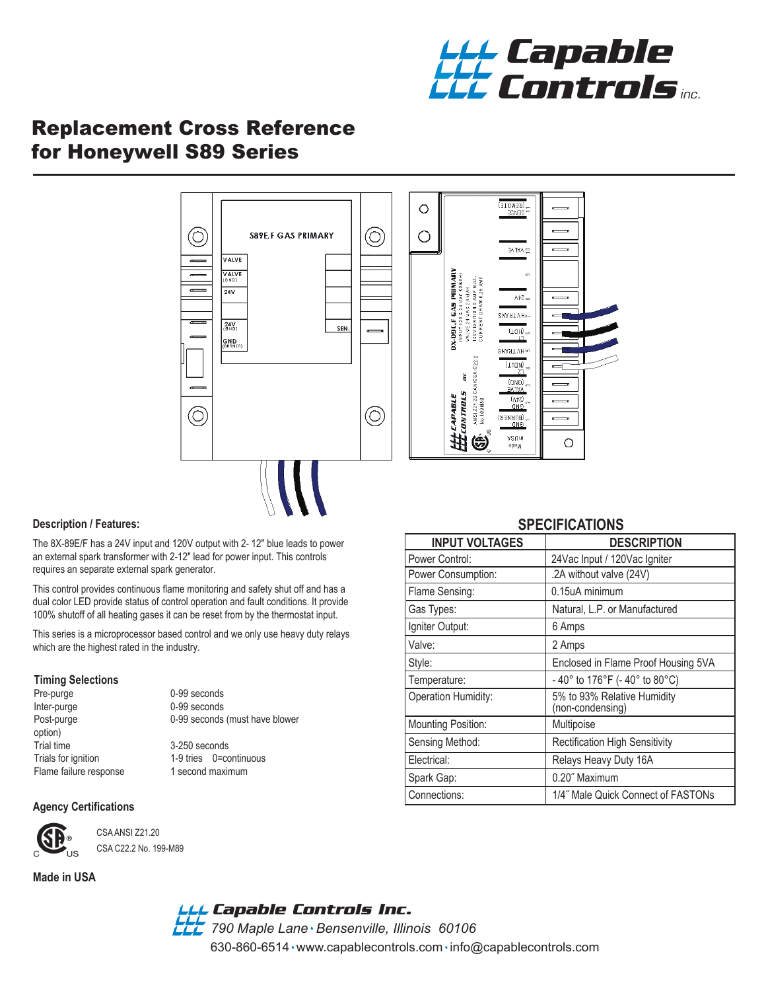

## Replacement Cross Reference for Honeywell S89 Series



#### **Description / Features:**

The 8X-89E/F has a 24V input and 120V output with 2- 12" blue leads to power an external spark transformer with 2-12" lead for power input. This controls requires an separate external spark generator.

This control provides continuous flame monitoring and safety shut off and has a dual color LED provide status of control operation and fault conditions. It provide 100% shutoff of all heating gases it can be reset from by the thermostat input.

This series is a microprocessor based control and we only use heavy duty relays which are the highest rated in the industry.

# **Timing Selections**

Inter-purge 0-99 seconds option)<br>Trial time Trials for ignition 1-9 tries 0=continuous<br>
Flame failure response 1 second maximum Flame failure response

0-99 seconds Post-purge 0-99 seconds (must have blower 3-250 seconds

#### **Agency Certifications**



 CSA ANSI Z21.20 CSA C22.2 No. 199-M89

#### **Made in USA**

*790 Maple Lane Bensenville, Illinois 60106 Capable Controls Inc.*

630-860-6514 www.capablecontrols.com info@capablecontrols.com

### **SPECIFICATIONS**

| <b>INPUT VOLTAGES</b>     | <b>DESCRIPTION</b>                              |
|---------------------------|-------------------------------------------------|
| Power Control:            | 24Vac Input / 120Vac Igniter                    |
| Power Consumption:        | .2A without valve (24V)                         |
| Flame Sensing:            | 0.15uA minimum                                  |
| Gas Types:                | Natural, L.P. or Manufactured                   |
| Igniter Output:           | 6 Amps                                          |
| Valve:                    | 2 Amps                                          |
| Style:                    | Enclosed in Flame Proof Housing 5VA             |
| Temperature:              | -40° to 176°F (-40° to 80°C)                    |
| Operation Humidity:       | 5% to 93% Relative Humidity<br>(non-condensing) |
| <b>Mounting Position:</b> | Multipoise                                      |
| Sensing Method:           | <b>Rectification High Sensitivity</b>           |
| Electrical:               | Relays Heavy Duty 16A                           |
| Spark Gap:                | 0.20" Maximum                                   |
| Connections:              | 1/4" Male Quick Connect of FASTONs              |